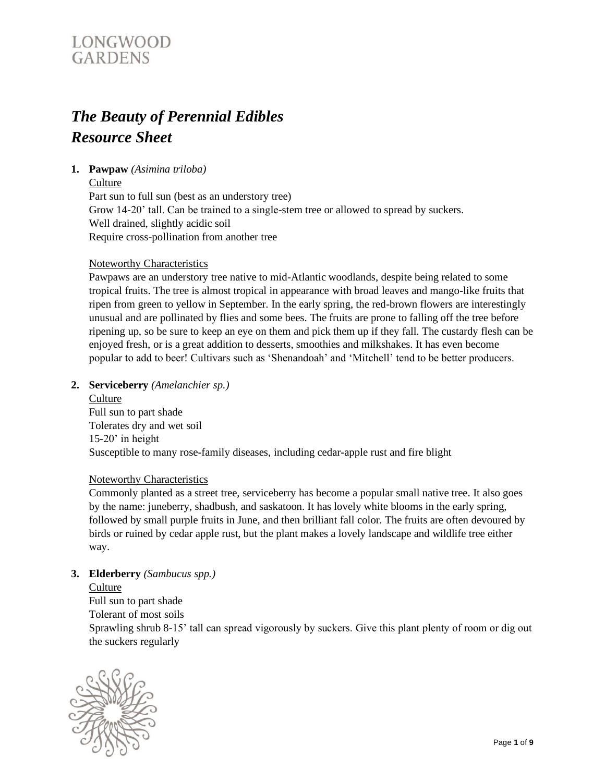# *The Beauty of Perennial Edibles Resource Sheet*

# **1. Pawpaw** *(Asimina triloba)*

**Culture** 

Part sun to full sun (best as an understory tree) Grow 14-20' tall. Can be trained to a single-stem tree or allowed to spread by suckers. Well drained, slightly acidic soil Require cross-pollination from another tree

# Noteworthy Characteristics

Pawpaws are an understory tree native to mid-Atlantic woodlands, despite being related to some tropical fruits. The tree is almost tropical in appearance with broad leaves and mango-like fruits that ripen from green to yellow in September. In the early spring, the red-brown flowers are interestingly unusual and are pollinated by flies and some bees. The fruits are prone to falling off the tree before ripening up, so be sure to keep an eye on them and pick them up if they fall. The custardy flesh can be enjoyed fresh, or is a great addition to desserts, smoothies and milkshakes. It has even become popular to add to beer! Cultivars such as 'Shenandoah' and 'Mitchell' tend to be better producers.

#### **2. Serviceberry** *(Amelanchier sp.)*

**Culture** Full sun to part shade Tolerates dry and wet soil 15-20' in height Susceptible to many rose-family diseases, including cedar-apple rust and fire blight

#### Noteworthy Characteristics

Commonly planted as a street tree, serviceberry has become a popular small native tree. It also goes by the name: juneberry, shadbush, and saskatoon. It has lovely white blooms in the early spring, followed by small purple fruits in June, and then brilliant fall color. The fruits are often devoured by birds or ruined by cedar apple rust, but the plant makes a lovely landscape and wildlife tree either way.

#### **3. Elderberry** *(Sambucus spp.)*

#### **Culture**

Full sun to part shade Tolerant of most soils Sprawling shrub 8-15' tall can spread vigorously by suckers. Give this plant plenty of room or dig out the suckers regularly

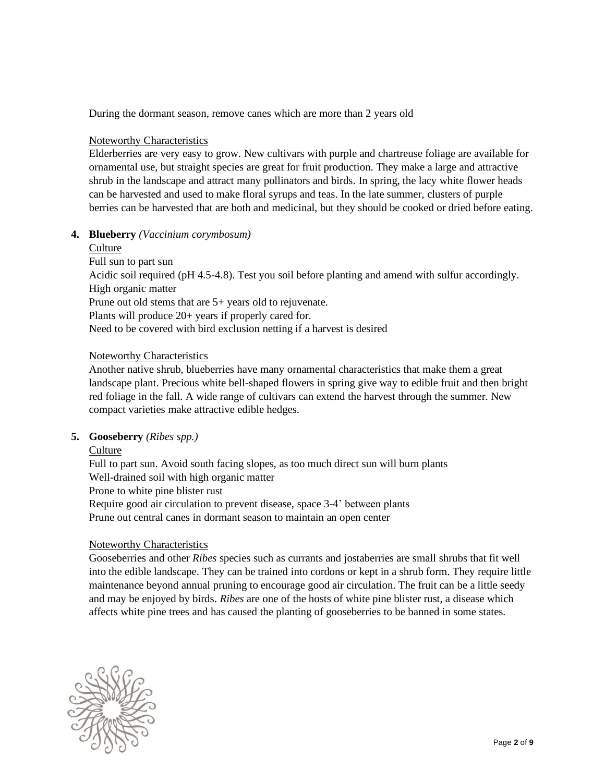During the dormant season, remove canes which are more than 2 years old

#### Noteworthy Characteristics

Elderberries are very easy to grow. New cultivars with purple and chartreuse foliage are available for ornamental use, but straight species are great for fruit production. They make a large and attractive shrub in the landscape and attract many pollinators and birds. In spring, the lacy white flower heads can be harvested and used to make floral syrups and teas. In the late summer, clusters of purple berries can be harvested that are both and medicinal, but they should be cooked or dried before eating.

#### **4. Blueberry** *(Vaccinium corymbosum)*

# Culture Full sun to part sun Acidic soil required (pH 4.5-4.8). Test you soil before planting and amend with sulfur accordingly. High organic matter Prune out old stems that are 5+ years old to rejuvenate. Plants will produce 20+ years if properly cared for. Need to be covered with bird exclusion netting if a harvest is desired

#### Noteworthy Characteristics

Another native shrub, blueberries have many ornamental characteristics that make them a great landscape plant. Precious white bell-shaped flowers in spring give way to edible fruit and then bright red foliage in the fall. A wide range of cultivars can extend the harvest through the summer. New compact varieties make attractive edible hedges.

#### **5. Gooseberry** *(Ribes spp.)*

**Culture** 

Full to part sun. Avoid south facing slopes, as too much direct sun will burn plants Well-drained soil with high organic matter Prone to white pine blister rust Require good air circulation to prevent disease, space 3-4' between plants Prune out central canes in dormant season to maintain an open center

#### Noteworthy Characteristics

Gooseberries and other *Ribes* species such as currants and jostaberries are small shrubs that fit well into the edible landscape. They can be trained into cordons or kept in a shrub form. They require little maintenance beyond annual pruning to encourage good air circulation. The fruit can be a little seedy and may be enjoyed by birds. *Ribes* are one of the hosts of white pine blister rust, a disease which affects white pine trees and has caused the planting of gooseberries to be banned in some states.

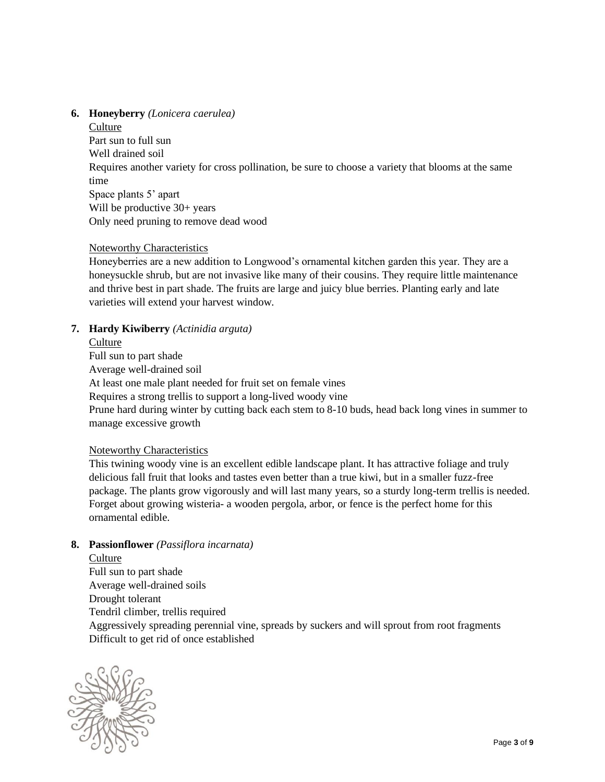#### **6. Honeyberry** *(Lonicera caerulea)*

**Culture** 

Part sun to full sun Well drained soil Requires another variety for cross pollination, be sure to choose a variety that blooms at the same time Space plants 5' apart Will be productive  $30+$  years Only need pruning to remove dead wood

# Noteworthy Characteristics

Honeyberries are a new addition to Longwood's ornamental kitchen garden this year. They are a honeysuckle shrub, but are not invasive like many of their cousins. They require little maintenance and thrive best in part shade. The fruits are large and juicy blue berries. Planting early and late varieties will extend your harvest window.

# **7. Hardy Kiwiberry** *(Actinidia arguta)*

#### Culture

Full sun to part shade Average well-drained soil At least one male plant needed for fruit set on female vines Requires a strong trellis to support a long-lived woody vine Prune hard during winter by cutting back each stem to 8-10 buds, head back long vines in summer to manage excessive growth

### Noteworthy Characteristics

This twining woody vine is an excellent edible landscape plant. It has attractive foliage and truly delicious fall fruit that looks and tastes even better than a true kiwi, but in a smaller fuzz-free package. The plants grow vigorously and will last many years, so a sturdy long-term trellis is needed. Forget about growing wisteria- a wooden pergola, arbor, or fence is the perfect home for this ornamental edible.

#### **8. Passionflower** *(Passiflora incarnata)*

#### **Culture**

Full sun to part shade Average well-drained soils Drought tolerant Tendril climber, trellis required Aggressively spreading perennial vine, spreads by suckers and will sprout from root fragments Difficult to get rid of once established

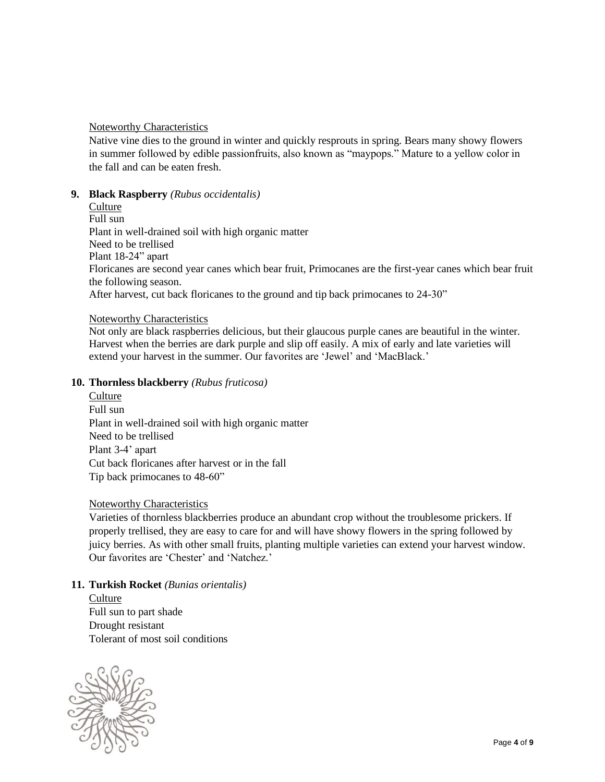#### Noteworthy Characteristics

Native vine dies to the ground in winter and quickly resprouts in spring. Bears many showy flowers in summer followed by edible passionfruits, also known as "maypops." Mature to a yellow color in the fall and can be eaten fresh.

#### **9. Black Raspberry** *(Rubus occidentalis)*

**Culture** Full sun Plant in well-drained soil with high organic matter Need to be trellised Plant 18-24" apart Floricanes are second year canes which bear fruit, Primocanes are the first-year canes which bear fruit the following season. After harvest, cut back floricanes to the ground and tip back primocanes to 24-30"

#### Noteworthy Characteristics

Not only are black raspberries delicious, but their glaucous purple canes are beautiful in the winter. Harvest when the berries are dark purple and slip off easily. A mix of early and late varieties will extend your harvest in the summer. Our favorites are 'Jewel' and 'MacBlack.'

#### **10. Thornless blackberry** *(Rubus fruticosa)*

Culture Full sun Plant in well-drained soil with high organic matter Need to be trellised Plant 3-4' apart Cut back floricanes after harvest or in the fall Tip back primocanes to 48-60"

#### Noteworthy Characteristics

Varieties of thornless blackberries produce an abundant crop without the troublesome prickers. If properly trellised, they are easy to care for and will have showy flowers in the spring followed by juicy berries. As with other small fruits, planting multiple varieties can extend your harvest window. Our favorites are 'Chester' and 'Natchez.'

#### **11. Turkish Rocket** *(Bunias orientalis)*

**Culture** Full sun to part shade Drought resistant Tolerant of most soil conditions

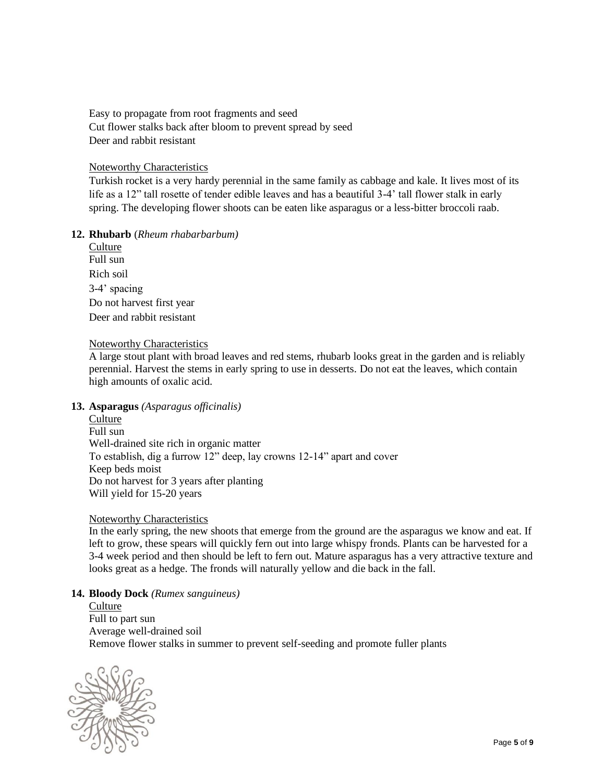Easy to propagate from root fragments and seed Cut flower stalks back after bloom to prevent spread by seed Deer and rabbit resistant

#### Noteworthy Characteristics

Turkish rocket is a very hardy perennial in the same family as cabbage and kale. It lives most of its life as a 12" tall rosette of tender edible leaves and has a beautiful 3-4' tall flower stalk in early spring. The developing flower shoots can be eaten like asparagus or a less-bitter broccoli raab.

#### **12. Rhubarb** (*Rheum rhabarbarbum)*

| Culture                   |
|---------------------------|
| Full sun                  |
| Rich soil                 |
| 3-4' spacing              |
| Do not harvest first year |
| Deer and rabbit resistant |

#### Noteworthy Characteristics

A large stout plant with broad leaves and red stems, rhubarb looks great in the garden and is reliably perennial. Harvest the stems in early spring to use in desserts. Do not eat the leaves, which contain high amounts of oxalic acid.

#### **13. Asparagus** *(Asparagus officinalis)*

**Culture** Full sun Well-drained site rich in organic matter To establish, dig a furrow 12" deep, lay crowns 12-14" apart and cover Keep beds moist Do not harvest for 3 years after planting Will yield for 15-20 years

#### Noteworthy Characteristics

In the early spring, the new shoots that emerge from the ground are the asparagus we know and eat. If left to grow, these spears will quickly fern out into large whispy fronds. Plants can be harvested for a 3-4 week period and then should be left to fern out. Mature asparagus has a very attractive texture and looks great as a hedge. The fronds will naturally yellow and die back in the fall.

#### **14. Bloody Dock** *(Rumex sanguineus)*

**Culture** Full to part sun Average well-drained soil Remove flower stalks in summer to prevent self-seeding and promote fuller plants

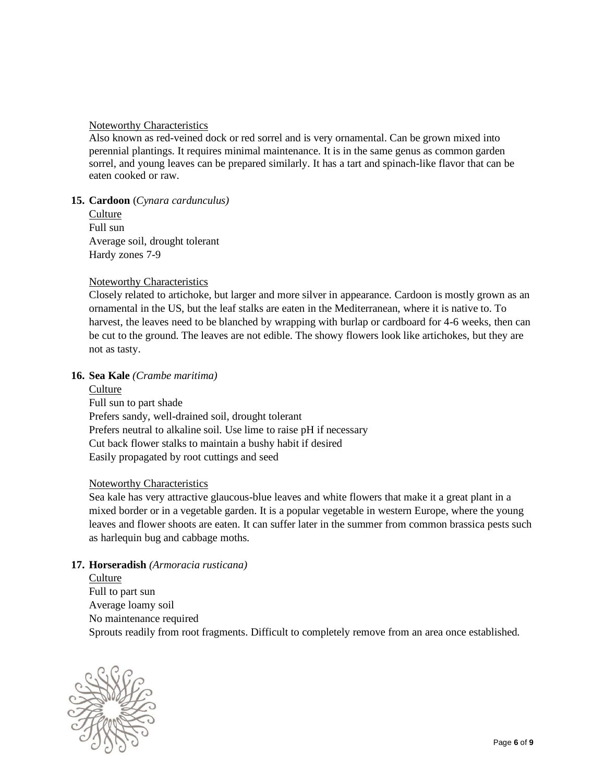#### Noteworthy Characteristics

Also known as red-veined dock or red sorrel and is very ornamental. Can be grown mixed into perennial plantings. It requires minimal maintenance. It is in the same genus as common garden sorrel, and young leaves can be prepared similarly. It has a tart and spinach-like flavor that can be eaten cooked or raw.

#### **15. Cardoon** (*Cynara cardunculus)*

**Culture** Full sun Average soil, drought tolerant Hardy zones 7-9

#### Noteworthy Characteristics

Closely related to artichoke, but larger and more silver in appearance. Cardoon is mostly grown as an ornamental in the US, but the leaf stalks are eaten in the Mediterranean, where it is native to. To harvest, the leaves need to be blanched by wrapping with burlap or cardboard for 4-6 weeks, then can be cut to the ground. The leaves are not edible. The showy flowers look like artichokes, but they are not as tasty.

#### **16. Sea Kale** *(Crambe maritima)*

**Culture** Full sun to part shade Prefers sandy, well-drained soil, drought tolerant Prefers neutral to alkaline soil. Use lime to raise pH if necessary Cut back flower stalks to maintain a bushy habit if desired Easily propagated by root cuttings and seed

#### Noteworthy Characteristics

Sea kale has very attractive glaucous-blue leaves and white flowers that make it a great plant in a mixed border or in a vegetable garden. It is a popular vegetable in western Europe, where the young leaves and flower shoots are eaten. It can suffer later in the summer from common brassica pests such as harlequin bug and cabbage moths.

#### **17. Horseradish** *(Armoracia rusticana)*

Culture Full to part sun Average loamy soil No maintenance required Sprouts readily from root fragments. Difficult to completely remove from an area once established.

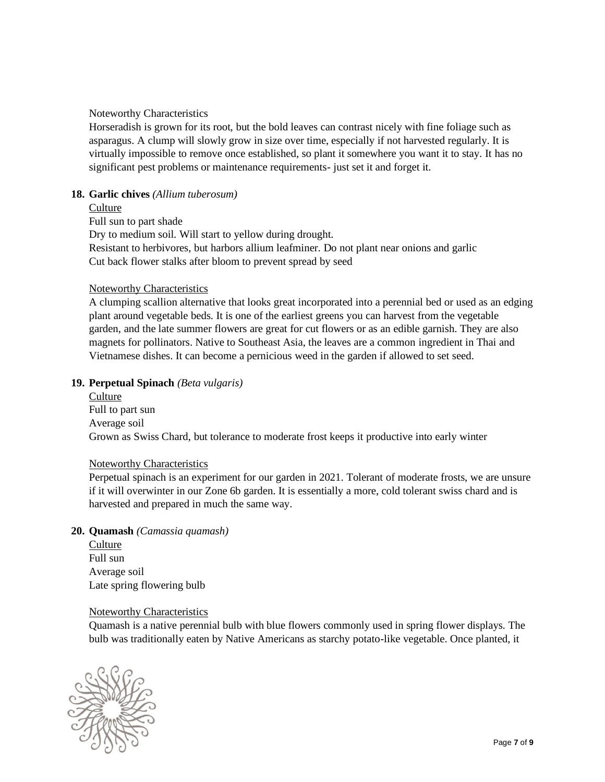Noteworthy Characteristics

Horseradish is grown for its root, but the bold leaves can contrast nicely with fine foliage such as asparagus. A clump will slowly grow in size over time, especially if not harvested regularly. It is virtually impossible to remove once established, so plant it somewhere you want it to stay. It has no significant pest problems or maintenance requirements- just set it and forget it.

# **18. Garlic chives** *(Allium tuberosum)*

#### **Culture**

Full sun to part shade

Dry to medium soil. Will start to yellow during drought.

Resistant to herbivores, but harbors allium leafminer. Do not plant near onions and garlic Cut back flower stalks after bloom to prevent spread by seed

#### Noteworthy Characteristics

A clumping scallion alternative that looks great incorporated into a perennial bed or used as an edging plant around vegetable beds. It is one of the earliest greens you can harvest from the vegetable garden, and the late summer flowers are great for cut flowers or as an edible garnish. They are also magnets for pollinators. Native to Southeast Asia, the leaves are a common ingredient in Thai and Vietnamese dishes. It can become a pernicious weed in the garden if allowed to set seed.

#### **19. Perpetual Spinach** *(Beta vulgaris)*

**Culture** Full to part sun Average soil Grown as Swiss Chard, but tolerance to moderate frost keeps it productive into early winter

#### Noteworthy Characteristics

Perpetual spinach is an experiment for our garden in 2021. Tolerant of moderate frosts, we are unsure if it will overwinter in our Zone 6b garden. It is essentially a more, cold tolerant swiss chard and is harvested and prepared in much the same way.

#### **20. Quamash** *(Camassia quamash)*

Culture Full sun Average soil Late spring flowering bulb

#### Noteworthy Characteristics

Quamash is a native perennial bulb with blue flowers commonly used in spring flower displays. The bulb was traditionally eaten by Native Americans as starchy potato-like vegetable. Once planted, it

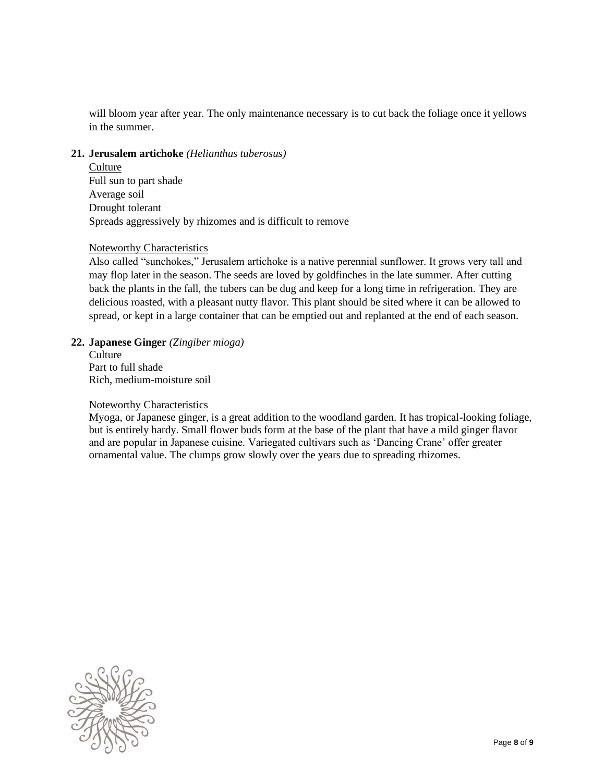will bloom year after year. The only maintenance necessary is to cut back the foliage once it yellows in the summer.

#### **21. Jerusalem artichoke** *(Helianthus tuberosus)*

**Culture** Full sun to part shade Average soil Drought tolerant Spreads aggressively by rhizomes and is difficult to remove

#### Noteworthy Characteristics

Also called "sunchokes," Jerusalem artichoke is a native perennial sunflower. It grows very tall and may flop later in the season. The seeds are loved by goldfinches in the late summer. After cutting back the plants in the fall, the tubers can be dug and keep for a long time in refrigeration. They are delicious roasted, with a pleasant nutty flavor. This plant should be sited where it can be allowed to spread, or kept in a large container that can be emptied out and replanted at the end of each season.

#### **22. Japanese Ginger** *(Zingiber mioga)*

**Culture** Part to full shade Rich, medium-moisture soil

#### Noteworthy Characteristics

Myoga, or Japanese ginger, is a great addition to the woodland garden. It has tropical-looking foliage, but is entirely hardy. Small flower buds form at the base of the plant that have a mild ginger flavor and are popular in Japanese cuisine. Variegated cultivars such as 'Dancing Crane' offer greater ornamental value. The clumps grow slowly over the years due to spreading rhizomes.